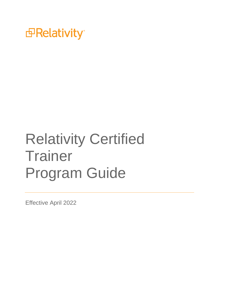

# Relativity Certified **Trainer** Program Guide

Effective April 2022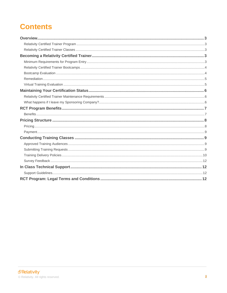# **Contents**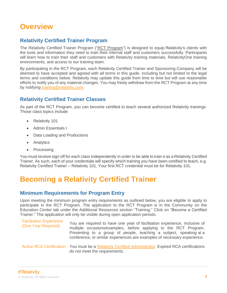# <span id="page-2-0"></span>**Overview**

### <span id="page-2-1"></span>**Relativity Certified Trainer Program**

The Relativity Certified Trainer Program ("RCT Program") is designed to equip Relativity's clients with the tools and information they need to train their internal staff and customers successfully. Participants will learn how to train their staff and customers with Relativity training materials, RelativityOne training environments, and access to our training team.

By participating in the RCT Program, each Relativity Certified Trainer and Sponsoring Company will be deemed to have accepted and agreed with all terms in this guide, including but not limited to the legal terms and conditions below. Relativity may update this guide from time to time but will use reasonable efforts to notify you of any material changes. You may freely withdraw from the RCT Program at any time by notifying [training@relativity.com.](mailto:training@relativity.com)

### <span id="page-2-2"></span>**Relativity Certified Trainer Classes**

As part of the RCT Program, you can become certified to teach several authorized Relativity trainings. Those class topics include:

- Relativity 101
- Admin Essentials I
- Data Loading and Productions
- Analytics
- **Processing**

You must receive sign off for each class independently in order to be able to train it as a Relativity Certified Trainer. As such, each of your credentials will specify which training you have been certified to teach, e.g. Relativity Certified Trainer – Relativity 101. Your first RCT credential must be for Relativity 101.

# <span id="page-2-3"></span>**Becoming a Relativity Certified Trainer**

# <span id="page-2-4"></span>**Minimum Requirements for Program Entry**

Upon meeting the minimum program entry requirements as outlined below, you are eligible to apply to participate in the RCT Program. The application to the RCT Program is in the Community on the Education Center tab under the Additional Resources section "Training." Click on "Become a Certified Trainer." The application will only be visible during open application periods.

| <b>Facilitation Experience</b><br>(One Year Required) | You are required to have one year of facilitation experience, inclusive of<br>multiple occasions/examples, before applying to the RCT Program.<br>Presenting to a group of people, teaching a subject, speaking at a<br>conference, or similar experiences are examples of necessary experience. |
|-------------------------------------------------------|--------------------------------------------------------------------------------------------------------------------------------------------------------------------------------------------------------------------------------------------------------------------------------------------------|
|                                                       | Active RCA Certification You must be a Relativity Certified Administrator. Expired RCA certifications<br>do not meet the requirements.                                                                                                                                                           |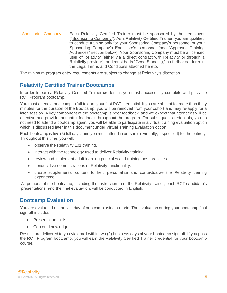Sponsoring Company Each Relativity Certified Trainer must be sponsored by their employer ("Sponsoring Company"). As a Relativity Certified Trainer, you are qualified to conduct training only for your Sponsoring Company's personnel or your Sponsoring Company's End User's personnel (see "Approved Training Audiences" section below). Your Sponsoring Company must be a licensed user of Relativity (either via a direct contract with Relativity or through a Relativity provider), and must be in "Good Standing," as further set forth in the Legal Terms and Conditions attached hereto.

The minimum program entry requirements are subject to change at Relativity's discretion.

# <span id="page-3-0"></span>**Relativity Certified Trainer Bootcamps**

In order to earn a Relativity Certified Trainer credential, you must successfully complete and pass the RCT Program bootcamp.

You must attend a bootcamp in full to earn your first RCT credential. If you are absent for more than thirty minutes for the duration of the Bootcamp, you will be removed from your cohort and may re-apply for a later session. A key component of the bootcamp is peer feedback, and we expect that attendees will be attentive and provide thoughtful feedback throughout the program. For subsequent credentials, you do not need to attend a bootcamp again; you will be able to participate in a virtual training evaluation option which is discussed later in this document under Virtual Training Evaluation option.

Each bootcamp is five (5) full days, and you must attend in person (or virtually, if specified) for the entirety. Throughout this time, you will:

- observe the Relativity 101 training.
- interact with the technology used to deliver Relativity training.
- review and implement adult learning principles and training best practices.
- conduct live demonstrations of Relativity functionality.
- create supplemental content to help personalize and contextualize the Relativity training experience.

All portions of the bootcamp, including the instruction from the Relativity trainer, each RCT candidate's presentations, and the final evaluation, will be conducted in English.

#### <span id="page-3-1"></span>**Bootcamp Evaluation**

You are evaluated on the last day of bootcamp using a rubric. The evaluation during your bootcamp final sign off includes:

- Presentation skills
- Content knowledge

Results are delivered to you via email within two (2) business days of your bootcamp sign off. If you pass the RCT Program bootcamp, you will earn the Relativity Certified Trainer credential for your bootcamp course.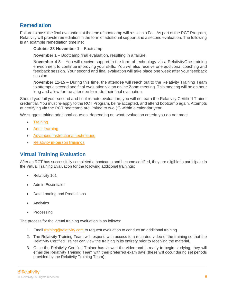### <span id="page-4-0"></span>**Remediation**

Failure to pass the final evaluation at the end of bootcamp will result in a Fail. As part of the RCT Program, Relativity will provide remediation in the form of additional support and a second evaluation. The following is an example remediation timeline:

#### **October 28-November 1** – Bootcamp

**November 1** – Bootcamp final evaluation, resulting in a failure.

**November 4-8** – You will receive support in the form of technology via a RelativityOne training environment to continue improving your skills. You will also receive one additional coaching and feedback session. Your second and final evaluation will take place one week after your feedback session.

**November 11-15** – During this time, the attendee will reach out to the Relativity Training Team to attempt a second and final evaluation via an online Zoom meeting. This meeting will be an hour long and allow for the attendee to re-do their final evaluation.

Should you fail your second and final remote evaluation, you will not earn the Relativity Certified Trainer credential. You must re-apply to the RCT Program, be re-accepted, and attend bootcamp again. Attempts at certifying via the RCT bootcamp are limited to two (2) within a calendar year.

We suggest taking additional courses, depending on what evaluation criteria you do not meet.

- **[Training](https://langevin.com/workshops/training-101/)**
- [Adult learning](https://langevin.com/workshops/how-adults-learn/)
- [Advanced instructional techniques](https://langevin.com/workshops/advanced-instructional-techniques/)
- [Relativity in-person trainings](https://www.relativity.com/ediscovery-training/live/#filtertable=session-type:In-Person%20Training)

#### <span id="page-4-1"></span>**Virtual Training Evaluation**

After an RCT has successfully completed a bootcamp and become certified, they are eligible to participate in the Virtual Training Evaluation for the following additional trainings:

- Relativity 101
- Admin Essentials I
- Data Loading and Productions
- **Analytics**
- **Processing**

The process for the virtual training evaluation is as follows:

- 1. Email [training@relativity.com](mailto:training@relativity.com) to request evaluation to conduct an additional training.
- 2. The Relativity Training Team will respond with access to a recorded video of the training so that the Relativity Certified Trainer can view the training in its entirety prior to receiving the material.
- 3. Once the Relativity Certified Trainer has viewed the video and is ready to begin studying, they will email the Relativity Training Team with their preferred exam date (these will occur during set periods provided by the Relativity Training Team).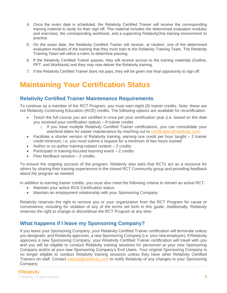- 4. Once the exam date is scheduled, the Relativity Certified Trainer will receive the corresponding training material to study for their sign off. This material includes the determined evaluation modules and exercises, the corresponding workbook, and a supporting RelativityOne training environment to practice.
- 5. On the exam date, the Relativity Certified Trainer will receive, at random, one of the determined evaluation modules of the training that they must train to the Relativity Training Team. The Relativity Training Team will utilize a rubric to determine passing.
- 6. If the Relativity Certified Trainer passes, they will receive access to the training materials (Outline, PPT, and Workbook) and they may now deliver the Relativity training.
- 7. If the Relativity Certified Trainer does not pass, they will be given one final opportunity to sign off.

# <span id="page-5-0"></span>**Maintaining Your Certification Status**

#### <span id="page-5-1"></span>**Relativity Certified Trainer Maintenance Requirements**

To continue as a member of the RCT Program, you must earn eight (8) trainer credits. Note: these are not Relativity Continuing Education (RCE) credits. The following options are available for recertification:

- Teach the full course you are certified in once per your certification year (i.e. based on the date you received your certification status) – 8 trainer credits
	- o If you have multiple Relativity Certified Trainer certifications, you can consolidate your start/end dates for easier maintenance by reaching out to [certification@relativity.com.](mailto:certification@relativity.com)
- Facilitate a shorter version of Relativity training, earning one credit per hour taught 2 trainer credit minimum, i.e. you must submit a request for a minimum of two hours trained
- Author or co-author training-related content 2 credits
- Participate in training-focused learning event 2 credits
- Peer feedback session 2 credits

To ensure the ongoing success of the program, Relativity also asks that RCTs act as a resource for others by sharing their training experiences in the closed RCT Community group and providing feedback about the program as needed.

In addition to earning trainer credits, you must also meet the following criteria to remain an active RCT:

- Maintain your active RCA Certification status.
- Maintain an employment relationship with your Sponsoring Company.

Relativity reserves the right to remove you or your organization from the RCT Program for cause or convenience, including for violation of any of the terms set forth in this guide. Additionally, Relativity reserves the right to change or discontinue the RCT Program at any time.

#### <span id="page-5-2"></span>**What happens if I leave my Sponsoring Company?**

If you leave your Sponsoring Company, your Relativity Certified Trainer certification will terminate unless you designate, and Relativity approves, a new Sponsoring Company (i.e. your new employer). If Relativity approves a new Sponsoring Company, your Relativity Certified Trainer certification will travel with you and you will be eligible to conduct Relativity training sessions for personnel at your new Sponsoring Company and/or at your new Sponsoring Company's End Users. Your original Sponsoring Company is no longer eligible to conduct Relativity training sessions unless they have other Relativity Certified Trainers on staff. Contact [training@relativity.com](mailto:training@relativity.com) to notify Relativity of any changes to your Sponsoring Company.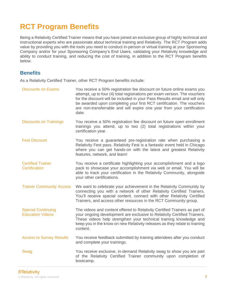# <span id="page-6-0"></span>**RCT Program Benefits**

Being a Relativity Certified Trainer means that you have joined an exclusive group of highly technical and instructional experts who are passionate about technical training and Relativity. The RCT Program adds value by providing you with the tools you need to conduct in-person or virtual training at your Sponsoring Company and/or for your Sponsoring Company's End Users, validating your Relativity knowledge and ability to conduct training, and reducing the cost of training, in addition to the RCT Program benefits below.

#### <span id="page-6-1"></span>**Benefits**

As a Relativity Certified Trainer, other RCT Program benefits include:

Discounts on Exams You receive a 50% registration fee discount on future online exams you attempt, up to four (4) total registrations per exam version. The vouchers for the discount will be included in your Pass Results email and will only be awarded upon completing your first RCT certification. The vouchers are non-transferrable and will expire one year from your certification date. Discounts on Trainings You receive a 50% registration fee discount on future open enrollment trainings you attend, up to two (2) total registrations within your certification year. Fest Discount You receive a guaranteed pre-registration rate when purchasing a Relativity Fest pass. Relativity Fest is a fantastic event held in Chicago where you can get hands-on with the latest and greatest Relativity features, network, and learn! Certified Trainer **Certification** You receive a certificate highlighting your accomplishment and a logo pack to showcase your accomplishment via web or email. You will be able to track your certification in the Relativity Community, alongside your other certifications. Trainer Community Access We want to celebrate your achievement in the Relativity Community by connecting you with a network of other Relativity Certified Trainers. You'll receive special content, connect with other Relativity Certified Trainers, and access other resources in the RCT Community group. Special Continuing Education Videos The videos and content offered to Relativity Certified Trainers as part of your ongoing development are exclusive to Relativity Certified Trainers. These videos help strengthen your technical training knowledge and keep you in the know on new Relativity releases as they relate to training content. Access to Survey Results You receive feedback submitted by training attendees after you conduct and complete your trainings. Swag Swag You receive exclusive, in-demand Relativity swag to show you are part of the Relativity Certified Trainer community upon completion of bootcamp.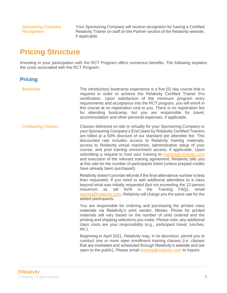Sponsoring Company **Recognition** 

Your Sponsoring Company will receive recognition for having a Certified Relativity Trainer on staff on the Partner section of the Relativity website, if applicable.

# <span id="page-7-0"></span>**Pricing Structure**

Investing in your participation with the RCT Program offers numerous benefits. The following explains the costs associated with the RCT Program:

# <span id="page-7-1"></span>**Pricing**

Bootcamp The introductory bootcamp experience is a five (5) day course that is required in order to achieve the Relativity Certified Trainer Pro certification. Upon satisfaction of the minimum program entry requirements and acceptance into the RCT program, you will enroll in this course at no registration cost to you. There is no registration fee for attending bootcamp, but you are responsible for travel, accommodation and other personal expenses, if applicable. Conducting Classes Classes delivered on-site or virtually for your Sponsoring Company or your Sponsoring Company's End Users by Relativity Certified Trainers are billed at a 50% discount of our standard per attendee fee. This discounted rate includes access to Relativity training materials, access to Relativity virtual machines, administrative setup of your course, and post training environment access, if applicable. Upon submitting a request to host your training to [training@relativity.com](mailto:training@relativity.com) and execution of the relevant training agreement, Relativity bills you at this rate for the number of participants listed (unless prepaid credits have already been purchased). Relativity doesn't provide refunds if the final attendance number is less than requested. If you need to add additional attendees to a class beyond what was initially requested (but not exceeding the 12-person maximum as set forth in the Training FAQ), email [training@relativity.com.](mailto:training@relativity.com) Relativity will charge you the same rate for the added participants. You are responsible for ordering and purchasing the printed class materials via Relativity's print vendor, Mimeo. Prices for printed materials will vary based on the number of units ordered and the printing and shipping selections you make. Please note, any additional class costs are your responsibility (e.g., participant travel, lunches, etc.).

Beginning in April 2021, Relativity may, in its discretion, permit you to conduct one or more open enrollment training classes (i.e. classes that are marketed and scheduled through Relativity's website and are open to the public). Please email [training@relativity.com](mailto:training@relativity.com) to inquire.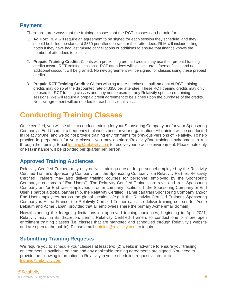### <span id="page-8-0"></span>**Payment**

There are three ways that the training classes that the RCT classes can be paid for:

- 1. **Ad Hoc:** RLM will require an agreement to be signed for each session they schedule, and they should be billed the standard \$350 per attendee rate for their attendees. RLM will include billing notes if they have had last minute cancellations or additions to ensure that finance knows the number of attendees to bill for.
- 2. **Prepaid Training Credits:** Clients with preexisting prepaid credits may use their prepaid training credits toward RCT training sessions. RCT attendees will still be 1 credit/person/class and no additional discount will be granted. No new agreement will be signed for classes using these prepaid credits.
- 3. **Prepaid RCT Training Credits:** Clients wishing to pre-purchase a bulk amount of RCT training credits may do so at the discounted rate of \$350 per attendee. These RCT training credits may only be used for RCT training classes and may not be used for any Relativity sponsored training sessions. We will require a prepaid credit agreement to be signed upon the purchase of the credits. No new agreement will be needed for each individual class.

# <span id="page-8-1"></span>**Conducting Training Classes**

Once certified, you will be able to conduct training for your Sponsoring Company and/or your Sponsoring Company's End Users at a frequency that works best for your organization. All training will be conducted in RelativityOne, and we do not provide training environments for previous versions of Relativity. To help practice in preparation for your classes you may obtain a RelativityOne training environment to run through the training. Email [training@relativity.com](mailto:training@relativity.com) to receive your practice environment. Please note only one (1) instance will be provided per quarter per person.

#### <span id="page-8-2"></span>**Approved Training Audiences**

Relativity Certified Trainers may only deliver training courses for personnel employed by the Relativity Certified Trainer's Sponsoring Company, or if the Sponsoring Company is a Relativity Partner, Relativity Certified Trainers may also deliver training courses for personnel employed by the Sponsoring Company's customers ("End Users"). The Relativity Certified Trainer can travel and train Sponsoring Company and/or End User employees in other company locations. If the Sponsoring Company or End User is part of a global partnership, the Relativity Certified Trainer can train Sponsoring Company and/or End User employees across the global locations (e.g. if the Relativity Certified Trainer's Sponsoring Company is Acme France, the Relativity Certified Trainer can also deliver training courses for Acme Belgium and Acme Japan, provided that all employees share the primary Acme email domain).

Notwithstanding the foregoing limitations on approved training audiences, beginning in April 2021, Relativity may, in its discretion, permit Relativity Certified Trainers to conduct one or more open enrollment training classes (i.e. classes that are marketed and scheduled through Relativity's website and are open to the public). Please email [training@relativity.com](mailto:training@relativity.com) to inquire.

#### <span id="page-8-3"></span>**Submitting Training Requests**

We require you to schedule your classes at least two (2) weeks in advance to ensure your training environment is available on time and any applicable training agreements are signed. You need to provide the following information to Relativity in your scheduling request via email to [training@relativity.com:](mailto:training@relativity.com)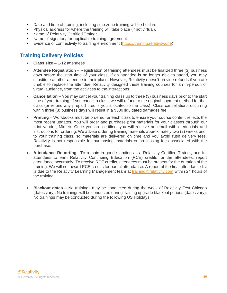- Date and time of training, including time zone training will be held in.
- Physical address for where the training will take place (if not virtual).
- Name of Relativity Certified Trainer.
- Name of signatory for applicable training agreement.
- Evidence of connectivity to training environment [\(https://training.relativity.one\)](https://training.relativity.one/)

# <span id="page-9-0"></span>**Training Delivery Policies**

- **Class size** 1-12 attendees
- **Attendee Registration** Registration of training attendees must be finalized three (3) business days before the start time of your class. If an attendee is no longer able to attend, you may substitute another attendee in their place. However, Relativity doesn't provide refunds if you are unable to replace the attendee. Relativity designed these training courses for an in-person or virtual audience, from the activities to the interactions.
- **Cancellation**  You may cancel your training class up to three (3) business days prior to the start time of your training. If you cancel a class, we will refund to the original payment method for that class (or refund any prepaid credits you allocated to the class). Class cancellations occurring within three (3) business days will result in a \$500 liquidated damages fee.
- **Printing** Workbooks must be ordered for each class to ensure your course content reflects the most recent updates. You will order and purchase print materials for your classes through our print vendor, Mimeo. Once you are certified, you will receive an email with credentials and instructions for ordering. We advise ordering training materials approximately two (2) weeks prior to your training class, so materials are delivered on time and you avoid rush delivery fees. Relativity is not responsible for purchasing materials or processing fees associated with the purchase.
- **Attendance Reporting** –To remain in good standing as a Relativity Certified Trainer, and for attendees to earn Relativity Continuing Education (RCE) credits for the attendees, report attendance accurately. To receive RCE credits, attendees must be present for the duration of the training. We will not award RCE credits for partial attendance. A report of the final attendance list is due to the Relativity Learning Management team at [training@relativity.com](mailto:training@relativity.com) within 24 hours of the training.
- **Blackout dates**  No trainings may be conducted during the week of Relativity Fest Chicago (dates vary). No trainings will be conducted during training upgrade blackout periods (dates vary). No trainings may be conducted during the following US Holidays: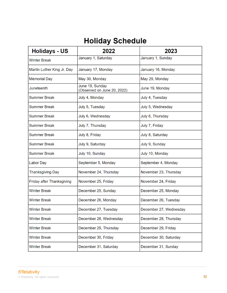# **Holiday Schedule**

| <b>Holidays - US</b>       | 2022                                           | 2023                   |
|----------------------------|------------------------------------------------|------------------------|
| <b>Winter Break</b>        | January 1, Saturday                            | January 1, Sunday      |
| Martin Luther King Jr. Day | January 17, Monday                             | January 16, Monday     |
| <b>Memorial Day</b>        | May 30, Monday                                 | May 29, Monday         |
| Juneteenth                 | June 19, Sunday<br>(Observed on June 20, 2022) | June 19, Monday        |
| <b>Summer Break</b>        | July 4, Monday                                 | July 4, Tuesday        |
| <b>Summer Break</b>        | July 5, Tuesday                                | July 5, Wednesday      |
| <b>Summer Break</b>        | July 6, Wednesday                              | July 6, Thursday       |
| <b>Summer Break</b>        | July 7, Thursday                               | July 7, Friday         |
| <b>Summer Break</b>        | July 8, Friday                                 | July 8, Saturday       |
| <b>Summer Break</b>        | July 9, Saturday                               | July 9, Sunday         |
| <b>Summer Break</b>        | July 10, Sunday                                | July 10, Monday        |
| Labor Day                  | September 5, Monday                            | September 4, Monday    |
| <b>Thanksgiving Day</b>    | November 24, Thursday                          | November 23, Thursday  |
| Friday after Thanksgiving  | November 25, Friday                            | November 24, Friday    |
| <b>Winter Break</b>        | December 25, Sunday                            | December 25, Monday    |
| <b>Winter Break</b>        | December 26, Monday                            | December 26, Tuesday   |
| <b>Winter Break</b>        | December 27, Tuesday                           | December 27, Wednesday |
| <b>Winter Break</b>        | December 28, Wednesday                         | December 28, Thursday  |
| <b>Winter Break</b>        | December 29, Thursday                          | December 29, Friday    |
| <b>Winter Break</b>        | December 30, Friday                            | December 30, Saturday  |
| <b>Winter Break</b>        | December 31, Saturday                          | December 31, Sunday    |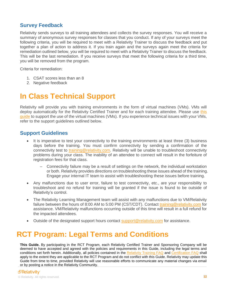#### <span id="page-11-0"></span>**Survey Feedback**

Relativity sends surveys to all training attendees and collects the survey responses. You will receive a summary of anonymous survey responses for classes that you conduct. If any of your surveys meet the following criteria, you will be required to meet with a Relativity Trainer to discuss the feedback and put together a plan of action to address it. If you train again and the surveys again meet the criteria for remediation outlined below, you will be required to meet with a Relativity Trainer to discuss the feedback. This will be the last remediation. If you receive surveys that meet the following criteria for a third time, you will be removed from the program.

Criteria for remediation:

- 1. CSAT scores less than an 8
- 2. Negative feedback

# <span id="page-11-1"></span>**In Class Technical Support**

Relativity will provide you with training environments in the form of virtual machines (VMs). VMs will deploy automatically for the Relativity Certified Trainer and for each training attendee. Please use this [guide](https://kcura-help.s3.amazonaws.com/Relativity/Training/Relativity%20-%20TestingConnectivityTroubleshooting.pdf) to support the use of the virtual machines (VMs). If you experience technical issues with your VMs, refer to the support guidelines outlined below.

#### <span id="page-11-2"></span>**Support Guidelines**

- It is imperative to test your connectivity to the training environments at least three (3) business days before the training. You must confirm connectivity by sending a confirmation of the connectivity test to [training@relativity.com.](mailto:training@relativity.com) Relativity will be unable to troubleshoot connectivity problems during your class. The inability of an attendee to connect will result in the forfeiture of registration fees for that class.
	- Connectivity failure may be a result of settings on the network, the individual workstation or both. Relativity provides directions on troubleshooting these issues ahead of the training. Engage your internal IT team to assist with troubleshooting these issues before training.
- Any malfunctions due to user error, failure to test connectivity, etc., are your responsibility to troubleshoot and no refund for training will be granted if the issue is found to be outside of Relativity's control.
- The Relativity Learning Management team will assist with any malfunctions due to VM/Relativity failure between the hours of 8:00 AM to 5:00 PM (CST/CDT). Contact [training@relativity.com](mailto:training@relativity.com) for assistance. VM/Relativity malfunctions occurring outside of this time will result in a full refund for the impacted attendees.
- Outside of the designated support hours contact [support@relativity.com](mailto:support@relativity.com) for assistance.

# <span id="page-11-3"></span>**RCT Program: Legal Terms and Conditions**

**This Guide.** By participating in the RCT Program, each Relativity Certified Trainer and Sponsoring Company will be deemed to have accepted and agreed with the policies and requirements in this Guide, including the legal terms and conditions set forth herein. Additionally, all policies contained in the [Relativity Training FAQ](https://www.relativity.com/ediscovery-training/faqs/) and [Certification FAQ](https://www.relativity.com/resources/certification/faqs/) shall apply to the extent they are applicable to the RCT Program and do not conflict with this Guide. Relativity may update this Guide from time to time, provided Relativity will use reasonable efforts to communicate any material changes via email or by posting a notice in the Relativity Community.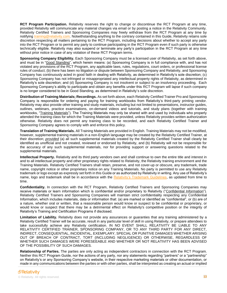**RCT Program Participation.** Relativity reserves the right to change or discontinue the RCT Program at any time, provided Relativity will communicate any material changes via email or by posting a notice in the Relativity Community. Relativity Certified Trainers and Sponsoring Companies may freely withdraw from the RCT Program at any time by notifying [training@relativity.com.](mailto:training@relativity.com) Notwithstanding anything to the contrary contained in this Guide, Relativity retains sole discretion respecting all matters pertaining to the RCT Program, including decisions about whether to accept any party into the RCT Program or to permit any party to continue participating in the RCT Program even if such party is otherwise technically eligible. Relativity may also suspend or terminate any party's participation in the RCT Program at any time without prior notice in case of any violation of these RCT Program terms.

**Sponsoring Company Eligibility.** Each Sponsoring Company must be a licensed user of Relativity, as set forth above, and must be in "Good Standing", which herein means: (a) Sponsoring Company is in full compliance with, and has not violated any provisions of the RCT Program, any applicable laws, rules, regulations, court orders, or professional license rules of conduct; (b) there has been no litigation or dispute between Sponsoring Company and Relativity, and Sponsoring Company has continuously acted in good faith in dealing with Relativity, as determined in Relativity's sole discretion; (c) Sponsoring Company has not infringed or misappropriated any intellectual property rights of Relativity, as determined in Relativity's sole discretion; and (d) Sponsoring Company is not insolvent or subject to an insolvency proceeding. Each Sponsoring Company's ability to participate and obtain any benefits under this RCT Program will lapse if such company is no longer considered to be in Good Standing, as determined in Relativity's sole discretion.

**Distribution of Training Materials; Recordings.** As set forth above, each Relativity Certified Trainer Pro and Sponsoring Company is responsible for ordering and paying for training workbooks from Relativity's third-party printing vendor. Relativity may also provide other training and study materials, including but not limited to presentations, instructor guides, outlines, webinars, practice examinations, on-demand videos and tutorials, and study plans (together with training workbooks, "Training Materials"). The Training Materials may only be shared with and used by individuals who properly attended the training class for which the Training Materials were provided, unless Relativity provides written authorization otherwise. Relativity does not permit any training class to be recorded, and each Relativity Certified Trainer and Sponsoring Company agrees to comply with and enforce this policy.

**Translation of Training Materials.** All Training Materials are provided in English. Training Materials may not be modified, however, supplemental training materials in a non-English language may be created by the Relativity Certified Trainer, at their discretion; *provided* (a) all such supplemental materials created by the Relativity Certified Trainer shall clearly be identified as unofficial and not created, reviewed or endorsed by Relativity, and (b) Relativity will not be responsible for the accuracy of any such supplemental materials, nor for providing support or answering questions related to the supplemental materials.

**Intellectual Property.** Relativity and its third party vendors own and shall continue to own the entire title and interest in and to all intellectual property and other proprietary rights related to Relativity, the Relativity training environment and the Training Materials. Relativity Certified Trainers shall retain, preserve, and not cover-up or obscure, any trademark, trade name, copyright notice or other proprietary notice on any Training Materials. No party is permitted to use any Relativity trademark or logo except as expressly set forth in this Guide or as authorized by Relativity in writing. Any use of Relativity's name, logo and trademark shall be in accordance with the [Relativity's Trademark Guidelines,](https://www.relativity.com/trademark-content-guidelines/) as updated from time to time.

**Confidentiality.** In connection with the RCT Program, Relativity Certified Trainers and Sponsoring Companies may receive materials or learn information which is confidential and/or proprietary to Relativity ("Confidential Information"). Relativity Certified Trainers and Sponsoring Companies will maintain strict confidentiality respecting any Confidential Information, which includes materials, data or information that: (a) are marked or identified as "confidential", or (b) are of a nature, whether oral or written, that a reasonable person would know or suspect to be confidential or proprietary, or would know or suspect that there may be a detrimental effect on Relativity's competitive position or the integrity of Relativity's Training and Certification Programs if disclosed.

**Limitation of Liability.** Relativity does not provide any assurances or guaranties that any training administered by a Relativity Certified Trainer will be accurate, result in any particular level of skill in using Relativity, or prepare attendees to take successfully achieve any Relativity certification. IN NO EVENT SHALL RELATIVITY BE LIABLE TO ANY RELATIVITY CERTIFIED TRAINER, SPONSORING COMPANY, OR TO ANY THIRD PARTY FOR ANY DIRECT, INDIRECT, CONSEQUENTIAL, INCIDENTAL, EXEMPLARY, SPECIAL OR PUNITIVE DAMAGES WHETHER ARISING OUT OF BREACH OF CONTRACT, TORT (INCLUDING NEGLIGENCE) OR OTHERWISE, REGARDLESS OF WHETHER SUCH DAMAGES WERE FORESEEABLE AND WHETHER OR NOT RELATIVITY HAS BEEN ADVISED OF THE POSSIBILITY OF SUCH DAMAGES.

**Relationship of Parties.** The parties are only acting as independent contractors in connection with the RCT Program. Neither this RCT Program Guide, nor the actions of any party, nor any statements regarding "partners" or a "partnership" on Relativity's or any Sponsoring Company's website, in their respective marketing materials or other documentation, or made in any communications between the parties or with other parties, shall be interpreted as creating an actual or implied